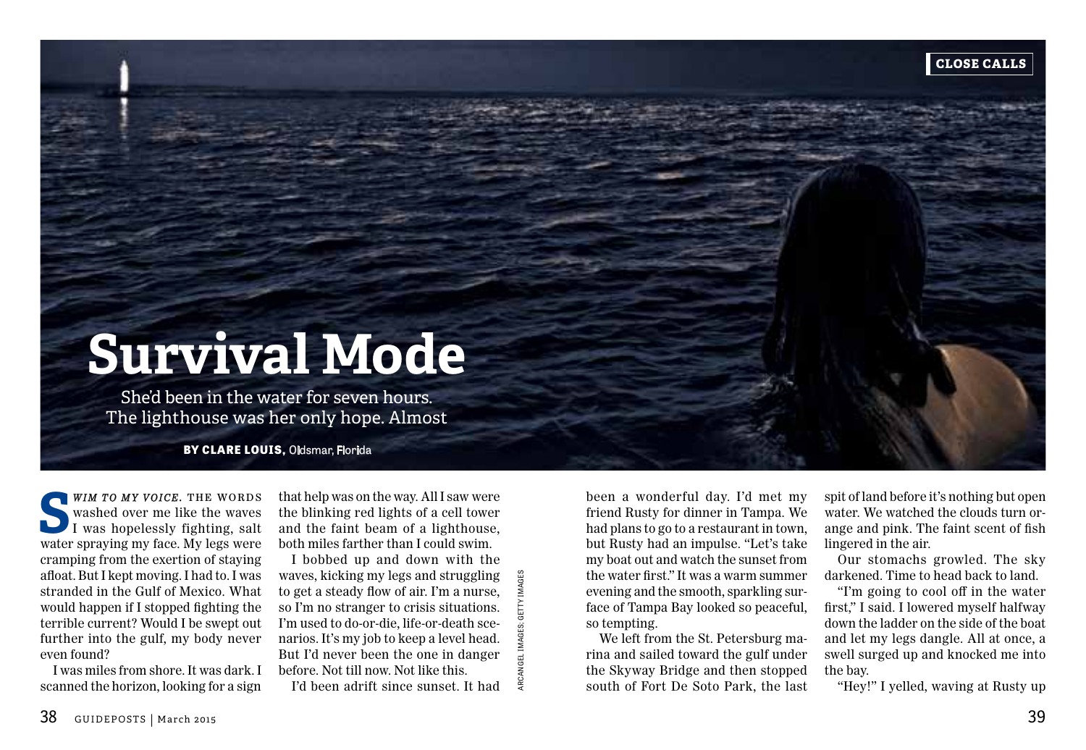## **Survival Mode**

She'd been in the water for seven hours. The lighthouse was her only hope. Almost

**BY CLARE LOUIS,** Oldsmar, Florida

**S WIM TO MY VOICE.** THE WORDS<br> **S washed over me like the waves**<br> **I** was hopelessly fighting, salt washed over me like the waves I was hopelessly fighting, salt water spraying my face. My legs were cramping from the exertion of staying afloat. But I kept moving. I had to. I was stranded in the Gulf of Mexico. What would happen if I stopped fighting the terrible current? Would I be swept out further into the gulf, my body never even found?

I was miles from shore. It was dark. I scanned the horizon, looking for a sign

that help was on the way. All I saw were the blinking red lights of a cell tower and the faint beam of a lighthouse, both miles farther than I could swim.

afloat. But I kept moving. I had to. I was waves, kicking my legs and struggling the water first." It was a warm summer darkened. Time to head back to land.<br>
stranded in the Gulf of Mexico. What to get a steady flow of ai I bobbed up and down with the waves, kicking my legs and struggling to get a steady flow of air. I'm a nurse, so I'm no stranger to crisis situations. I'm used to do-or-die, life-or-death scenarios. It's my job to keep a level head. But I'd never been the one in danger before. Not till now. Not like this. I'd been adrift since sunset. It had

been a wonderful day. I'd met my friend Rusty for dinner in Tampa. We had plans to go to a restaurant in town, but Rusty had an impulse. "Let's take my boat out and watch the sunset from the water first." It was a warm summer evening and the smooth, sparkling surface of Tampa Bay looked so peaceful, so tempting.

We left from the St. Petersburg marina and sailed toward the gulf under the Skyway Bridge and then stopped south of Fort De Soto Park, the last spit of land before it's nothing but open water. We watched the clouds turn orange and pink. The faint scent of fish lingered in the air.

Our stomachs growled. The sky darkened. Time to head back to land.

"I'm going to cool off in the water first," I said. I lowered myself halfway down the ladder on the side of the boat and let my legs dangle. All at once, a swell surged up and knocked me into the bay.

"Hey!" I yelled, waving at Rusty up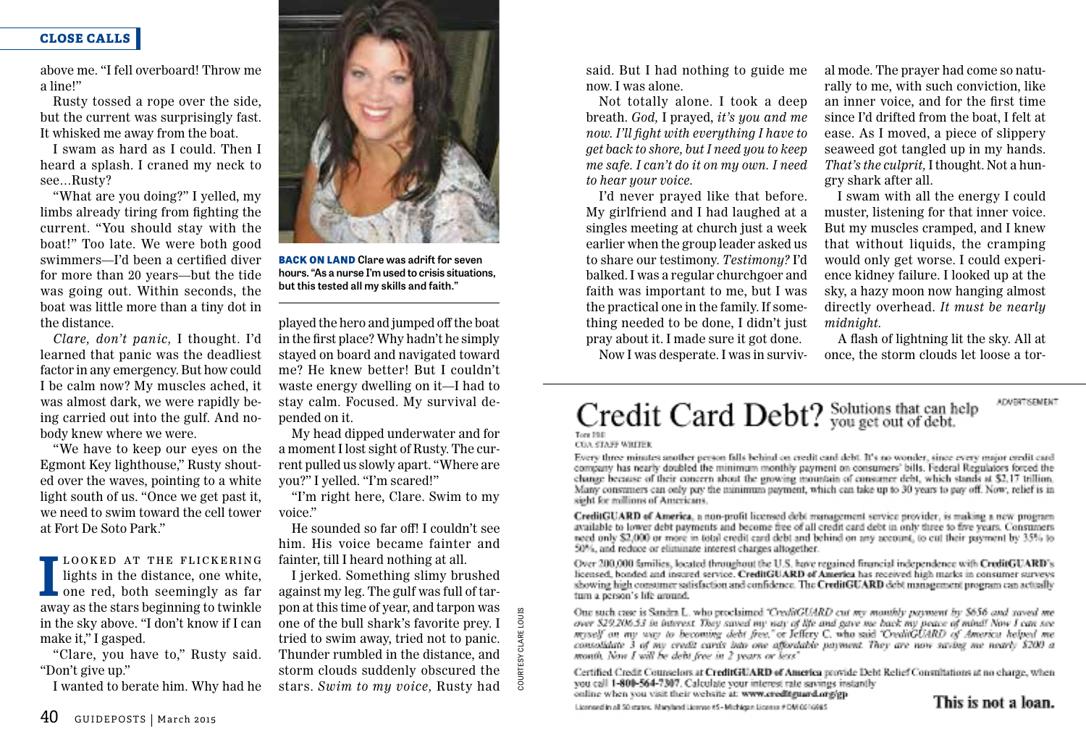## **CLOSE CALLS**

above me. "I fell overboard! Throw me a line!"

Rusty tossed a rope over the side, but the current was surprisingly fast. It whisked me away from the boat.

I swam as hard as I could. Then I heard a splash. I craned my neck to see…Rusty?

"What are you doing?" I yelled, my limbs already tiring from fighting the current. "You should stay with the boat!" Too late. We were both good swimmers—I'd been a certified diver for more than 20 years—but the tide was going out. Within seconds, the boat was little more than a tiny dot in the distance.

*Clare, don't panic,* I thought. I'd learned that panic was the deadliest factor in any emergency. But how could I be calm now? My muscles ached, it was almost dark, we were rapidly being carried out into the gulf. And nobody knew where we were.

"We have to keep our eyes on the Egmont Key lighthouse," Rusty shouted over the waves, pointing to a white light south of us. "Once we get past it, we need to swim toward the cell tower at Fort De Soto Park."

**I I**LOOKED AT THE FLICKERING<br>
lights in the distance, one white,<br>
one red, both seemingly as far<br>
away as the stars beginning to twinkle **LOOKED AT THE FLICKERING** lights in the distance, one white, away as the stars beginning to twinkle in the sky above. "I don't know if I can make it," I gasped.

"Clare, you have to," Rusty said. "Don't give up."

I wanted to berate him. Why had he



**BACK ON LAND Clare was adrift for seven hours. "As a nurse I'm used to crisis situations, but this tested all my skills and faith."**

played the hero and jumped off the boat in the first place? Why hadn't he simply stayed on board and navigated toward me? He knew better! But I couldn't waste energy dwelling on it—I had to stay calm. Focused. My survival depended on it.

My head dipped underwater and for a moment I lost sight of Rusty. The current pulled us slowly apart. "Where are you?" I yelled. "I'm scared!"

"I'm right here, Clare. Swim to my voice."

He sounded so far off! I couldn't see him. His voice became fainter and fainter, till I heard nothing at all.

I jerked. Something slimy brushed against my leg. The gulf was full of tarpon at this time of year, and tarpon was one of the bull shark's favorite prey. I tried to swim away, tried not to panic. Thunder rumbled in the distance, and storm clouds suddenly obscured the stars. *Swim to my voice,* Rusty had said. But I had nothing to guide me now. I was alone.

Not totally alone. I took a deep breath. *God,* I prayed, *it's you and me now. I'll fight with everything I have to get back to shore, but I need you to keep me safe. I can't do it on my own. I need to hear your voice.*

I'd never prayed like that before. My girlfriend and I had laughed at a singles meeting at church just a week earlier when the group leader asked us to share our testimony. *Testimony?* I'd balked. I was a regular churchgoer and faith was important to me, but I was the practical one in the family. If something needed to be done, I didn't just pray about it. I made sure it got done.

Now I was desperate. I was in surviv-

al mode. The prayer had come so naturally to me, with such conviction, like an inner voice, and for the first time since I'd drifted from the boat, I felt at ease. As I moved, a piece of slippery seaweed got tangled up in my hands. *That's the culprit,* I thought. Not a hungry shark after all.

I swam with all the energy I could muster, listening for that inner voice. But my muscles cramped, and I knew that without liquids, the cramping would only get worse. I could experience kidney failure. I looked up at the sky, a hazy moon now hanging almost directly overhead. *It must be nearly midnight.*

A flash of lightning lit the sky. All at once, the storm clouds let loose a tor-

ADVERTISEMENT

## Credit Card Debt? Solutions that can help Tory 1981

**CGA STAFF WRITER** 

Every three minutes another person falls behind on credit card debt. It's no wonder, since every major credit card company has nearly doubled the minimum monthly payment on consumers' bills. Federal Regulators forced the change because of their concern about the growing mountain of consumer debt, which stands at \$2.17 trillion. Many consumers can only pay the minimum nayment, which can take up to 30 years to pay off. Now, relief is in sight for millions of Americans.

CreditGUARD of America, a non-profit licensed debt management service provider, is making a new program available to lower debt payments and become free of all credit card debt in only three to five years. Consumers need only \$2,000 or more in total credit card debt and behind on any account, to cut their payment by 35% to 50%, and reduce or eliminate interest charges altogether.

Over 200,000 families, located throughout the U.S. have regained financial independence with CreditGUARD's licensed, bonded and insured service. CreditGUARD of America has received high marks in consumer surveys showing high consumer satisfaction and confidence. The CreditGUARD debt management program can actually turn a person's life around.

At the stars is smaller the product of the bull shares is smaller L who preclaimed Credit Clarke in the sky above. "I don't know if I can one of the bull shark's favorite prevy. I<br>
in the sky above. "I don't know if I can